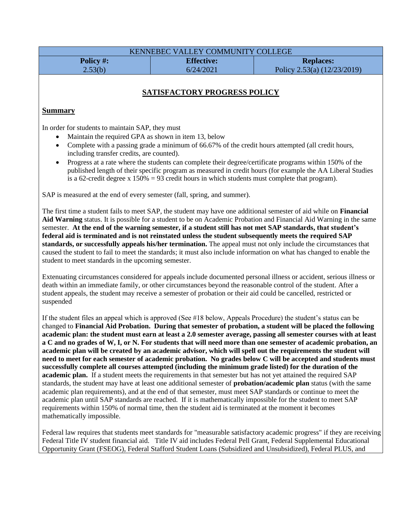| KENNEBEC VALLEY COMMUNITY COLLEGE |                   |                               |
|-----------------------------------|-------------------|-------------------------------|
| Policy #:                         | <b>Effective:</b> | <b>Replaces:</b>              |
| 2.53(b)                           | 6/24/2021         | Policy 2.53(a) $(12/23/2019)$ |

# **SATISFACTORY PROGRESS POLICY**

#### **Summary**

In order for students to maintain SAP, they must

- Maintain the required GPA as shown in item 13, below
- Complete with a passing grade a minimum of 66.67% of the credit hours attempted (all credit hours, including transfer credits, are counted).
- Progress at a rate where the students can complete their degree/certificate programs within 150% of the published length of their specific program as measured in credit hours (for example the AA Liberal Studies is a 62-credit degree x  $150\% = 93$  credit hours in which students must complete that program).

SAP is measured at the end of every semester (fall, spring, and summer).

The first time a student fails to meet SAP, the student may have one additional semester of aid while on **Financial Aid Warning** status. It is possible for a student to be on Academic Probation and Financial Aid Warning in the same semester. **At the end of the warning semester, if a student still has not met SAP standards, that student's federal aid is terminated and is not reinstated unless the student subsequently meets the required SAP standards, or successfully appeals his/her termination.** The appeal must not only include the circumstances that caused the student to fail to meet the standards; it must also include information on what has changed to enable the student to meet standards in the upcoming semester.

Extenuating circumstances considered for appeals include documented personal illness or accident, serious illness or death within an immediate family, or other circumstances beyond the reasonable control of the student. After a student appeals, the student may receive a semester of probation or their aid could be cancelled, restricted or suspended

If the student files an appeal which is approved (See #18 below, Appeals Procedure) the student's status can be changed to **Financial Aid Probation. During that semester of probation, a student will be placed the following academic plan: the student must earn at least a 2.0 semester average, passing all semester courses with at least a C and no grades of W, I, or N. For students that will need more than one semester of academic probation, an academic plan will be created by an academic advisor, which will spell out the requirements the student will need to meet for each semester of academic probation. No grades below C will be accepted and students must successfully complete all courses attempted (including the minimum grade listed) for the duration of the academic plan.** If a student meets the requirements in that semester but has not yet attained the required SAP standards, the student may have at least one additional semester of **probation/academic plan** status (with the same academic plan requirements), and at the end of that semester, must meet SAP standards or continue to meet the academic plan until SAP standards are reached. If it is mathematically impossible for the student to meet SAP requirements within 150% of normal time, then the student aid is terminated at the moment it becomes mathematically impossible.

Federal law requires that students meet standards for "measurable satisfactory academic progress" if they are receiving Federal Title IV student financial aid. Title IV aid includes Federal Pell Grant, Federal Supplemental Educational Opportunity Grant (FSEOG), Federal Stafford Student Loans (Subsidized and Unsubsidized), Federal PLUS, and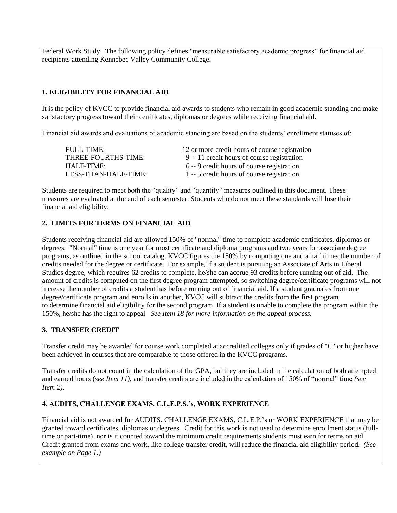Federal Work Study. The following policy defines "measurable satisfactory academic progress" for financial aid recipients attending Kennebec Valley Community College**.**

# **1. ELIGIBILITY FOR FINANCIAL AID**

It is the policy of KVCC to provide financial aid awards to students who remain in good academic standing and make satisfactory progress toward their certificates, diplomas or degrees while receiving financial aid.

Financial aid awards and evaluations of academic standing are based on the students' enrollment statuses of:

FULL-TIME: 12 or more credit hours of course registration THREE-FOURTHS-TIME: 9 -- 11 credit hours of course registration HALF-TIME: 6 -- 8 credit hours of course registration LESS-THAN-HALF-TIME: 1 -- 5 credit hours of course registration

Students are required to meet both the "quality" and "quantity" measures outlined in this document. These measures are evaluated at the end of each semester. Students who do not meet these standards will lose their financial aid eligibility.

#### **2. LIMITS FOR TERMS ON FINANCIAL AID**

Students receiving financial aid are allowed 150% of "normal" time to complete academic certificates, diplomas or degrees. "Normal" time is one year for most certificate and diploma programs and two years for associate degree programs, as outlined in the school catalog. KVCC figures the 150% by computing one and a half times the number of credits needed for the degree or certificate. For example, if a student is pursuing an Associate of Arts in Liberal Studies degree, which requires 62 credits to complete, he/she can accrue 93 credits before running out of aid. The amount of credits is computed on the first degree program attempted, so switching degree/certificate programs will not increase the number of credits a student has before running out of financial aid. If a student graduates from one degree/certificate program and enrolls in another, KVCC will subtract the credits from the first program to determine financial aid eligibility for the second program. If a student is unable to complete the program within the 150%, he/she has the right to appeal *See Item 18 for more information on the appeal process.*

## **3. TRANSFER CREDIT**

Transfer credit may be awarded for course work completed at accredited colleges only if grades of "C" or higher have been achieved in courses that are comparable to those offered in the KVCC programs.

Transfer credits do not count in the calculation of the GPA, but they are included in the calculation of both attempted and earned hours (*see Item 11),* and transfer credits are included in the calculation of 150% of "normal" time *(see Item 2)*.

#### **4. AUDITS, CHALLENGE EXAMS, C.L.E.P.S.'s, WORK EXPERIENCE**

Financial aid is not awarded for AUDITS, CHALLENGE EXAMS, C.L.E.P.'s or WORK EXPERIENCE that may be granted toward certificates, diplomas or degrees. Credit for this work is not used to determine enrollment status (fulltime or part-time), nor is it counted toward the minimum credit requirements students must earn for terms on aid. Credit granted from exams and work, like college transfer credit, will reduce the financial aid eligibility period*. (See example on Page 1.)*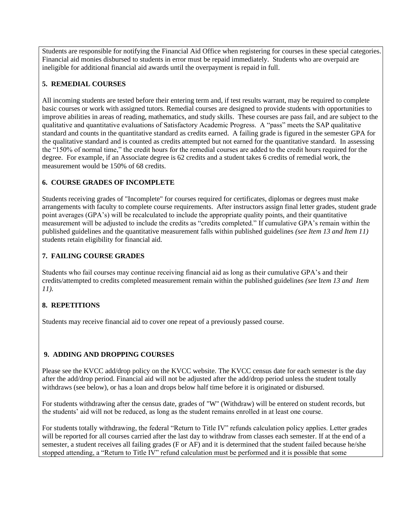Students are responsible for notifying the Financial Aid Office when registering for courses in these special categories. Financial aid monies disbursed to students in error must be repaid immediately. Students who are overpaid are ineligible for additional financial aid awards until the overpayment is repaid in full.

## **5. REMEDIAL COURSES**

All incoming students are tested before their entering term and, if test results warrant, may be required to complete basic courses or work with assigned tutors. Remedial courses are designed to provide students with opportunities to improve abilities in areas of reading, mathematics, and study skills. These courses are pass fail, and are subject to the qualitative and quantitative evaluations of Satisfactory Academic Progress. A "pass" meets the SAP qualitative standard and counts in the quantitative standard as credits earned. A failing grade is figured in the semester GPA for the qualitative standard and is counted as credits attempted but not earned for the quantitative standard. In assessing the "150% of normal time," the credit hours for the remedial courses are added to the credit hours required for the degree. For example, if an Associate degree is 62 credits and a student takes 6 credits of remedial work, the measurement would be 150% of 68 credits.

# **6. COURSE GRADES OF INCOMPLETE**

Students receiving grades of "Incomplete" for courses required for certificates, diplomas or degrees must make arrangements with faculty to complete course requirements. After instructors assign final letter grades, student grade point averages (GPA's) will be recalculated to include the appropriate quality points, and their quantitative measurement will be adjusted to include the credits as "credits completed." If cumulative GPA's remain within the published guidelines and the quantitative measurement falls within published guidelines *(see Item 13 and Item 11)* students retain eligibility for financial aid.

# **7. FAILING COURSE GRADES**

Students who fail courses may continue receiving financial aid as long as their cumulative GPA's and their credits/attempted to credits completed measurement remain within the published guidelines *(see* I*tem 13 and Item 11).*

# **8. REPETITIONS**

Students may receive financial aid to cover one repeat of a previously passed course.

# **9. ADDING AND DROPPING COURSES**

Please see the KVCC add/drop policy on the KVCC website. The KVCC census date for each semester is the day after the add/drop period. Financial aid will not be adjusted after the add/drop period unless the student totally withdraws (see below), or has a loan and drops below half time before it is originated or disbursed.

For students withdrawing after the census date, grades of "W" (Withdraw) will be entered on student records, but the students' aid will not be reduced, as long as the student remains enrolled in at least one course.

For students totally withdrawing, the federal "Return to Title IV" refunds calculation policy applies. Letter grades will be reported for all courses carried after the last day to withdraw from classes each semester. If at the end of a semester, a student receives all failing grades (F or AF) and it is determined that the student failed because he/she stopped attending, a "Return to Title IV" refund calculation must be performed and it is possible that some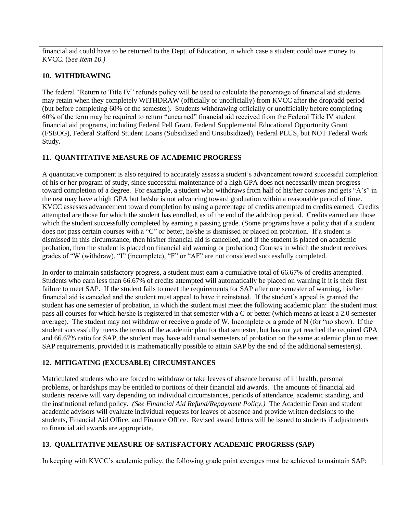financial aid could have to be returned to the Dept. of Education, in which case a student could owe money to KVCC. (*See Item 10.)*

#### **10. WITHDRAWING**

The federal "Return to Title IV" refunds policy will be used to calculate the percentage of financial aid students may retain when they completely WITHDRAW (officially or unofficially) from KVCC after the drop/add period (but before completing 60% of the semester). Students withdrawing officially or unofficially before completing 60% of the term may be required to return "unearned" financial aid received from the Federal Title IV student financial aid programs, including Federal Pell Grant, Federal Supplemental Educational Opportunity Grant (FSEOG), Federal Stafford Student Loans (Subsidized and Unsubsidized), Federal PLUS, but NOT Federal Work Study**.**

## **11. QUANTITATIVE MEASURE OF ACADEMIC PROGRESS**

A quantitative component is also required to accurately assess a student's advancement toward successful completion of his or her program of study, since successful maintenance of a high GPA does not necessarily mean progress toward completion of a degree. For example, a student who withdraws from half of his/her courses and gets "A's" in the rest may have a high GPA but he/she is not advancing toward graduation within a reasonable period of time. KVCC assesses advancement toward completion by using a percentage of credits attempted to credits earned. Credits attempted are those for which the student has enrolled, as of the end of the add/drop period. Credits earned are those which the student successfully completed by earning a passing grade. (Some programs have a policy that if a student does not pass certain courses with a "C" or better, he/she is dismissed or placed on probation. If a student is dismissed in this circumstance, then his/her financial aid is cancelled, and if the student is placed on academic probation, then the student is placed on financial aid warning or probation.) Courses in which the student receives grades of "W (withdraw), "I" (incomplete), "F" or "AF" are not considered successfully completed.

In order to maintain satisfactory progress, a student must earn a cumulative total of 66.67% of credits attempted. Students who earn less than 66.67% of credits attempted will automatically be placed on warning if it is their first failure to meet SAP. If the student fails to meet the requirements for SAP after one semester of warning, his/her financial aid is canceled and the student must appeal to have it reinstated. If the student's appeal is granted the student has one semester of probation, in which the student must meet the following academic plan: the student must pass all courses for which he/she is registered in that semester with a C or better (which means at least a 2.0 semester average). The student may not withdraw or receive a grade of W, Incomplete or a grade of N (for "no show). If the student successfully meets the terms of the academic plan for that semester, but has not yet reached the required GPA and 66.67% ratio for SAP, the student may have additional semesters of probation on the same academic plan to meet SAP requirements, provided it is mathematically possible to attain SAP by the end of the additional semester(s).

## **12. MITIGATING (EXCUSABLE) CIRCUMSTANCES**

Matriculated students who are forced to withdraw or take leaves of absence because of ill health, personal problems, or hardships may be entitled to portions of their financial aid awards. The amounts of financial aid students receive will vary depending on individual circumstances, periods of attendance, academic standing, and the institutional refund policy. *(See Financial Aid Refund/Repayment Policy.)* The Academic Dean and student academic advisors will evaluate individual requests for leaves of absence and provide written decisions to the students, Financial Aid Office, and Finance Office. Revised award letters will be issued to students if adjustments to financial aid awards are appropriate.

## **13. QUALITATIVE MEASURE OF SATISFACTORY ACADEMIC PROGRESS (SAP)**

In keeping with KVCC's academic policy, the following grade point averages must be achieved to maintain SAP: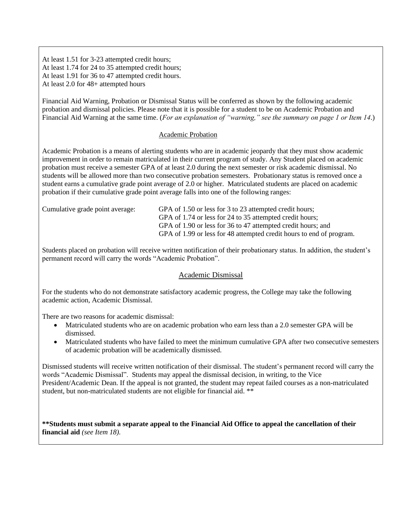At least 1.51 for 3-23 attempted credit hours; At least 1.74 for 24 to 35 attempted credit hours; At least 1.91 for 36 to 47 attempted credit hours. At least 2.0 for 48+ attempted hours

Financial Aid Warning, Probation or Dismissal Status will be conferred as shown by the following academic probation and dismissal policies. Please note that it is possible for a student to be on Academic Probation and Financial Aid Warning at the same time. (*For an explanation of "warning," see the summary on page 1 or Item 14*.)

#### Academic Probation

Academic Probation is a means of alerting students who are in academic jeopardy that they must show academic improvement in order to remain matriculated in their current program of study. Any Student placed on academic probation must receive a semester GPA of at least 2.0 during the next semester or risk academic dismissal. No students will be allowed more than two consecutive probation semesters. Probationary status is removed once a student earns a cumulative grade point average of 2.0 or higher. Matriculated students are placed on academic probation if their cumulative grade point average falls into one of the following ranges:

Cumulative grade point average: GPA of 1.50 or less for 3 to 23 attempted credit hours; GPA of 1.74 or less for 24 to 35 attempted credit hours; GPA of 1.90 or less for 36 to 47 attempted credit hours; and GPA of 1.99 or less for 48 attempted credit hours to end of program.

Students placed on probation will receive written notification of their probationary status. In addition, the student's permanent record will carry the words "Academic Probation".

#### Academic Dismissal

For the students who do not demonstrate satisfactory academic progress, the College may take the following academic action, Academic Dismissal.

There are two reasons for academic dismissal:

- Matriculated students who are on academic probation who earn less than a 2.0 semester GPA will be dismissed.
- Matriculated students who have failed to meet the minimum cumulative GPA after two consecutive semesters of academic probation will be academically dismissed.

Dismissed students will receive written notification of their dismissal. The student's permanent record will carry the words "Academic Dismissal". Students may appeal the dismissal decision, in writing, to the Vice President/Academic Dean. If the appeal is not granted, the student may repeat failed courses as a non-matriculated student, but non-matriculated students are not eligible for financial aid. \*\*

**\*\*Students must submit a separate appeal to the Financial Aid Office to appeal the cancellation of their financial aid** *(see Item 18).*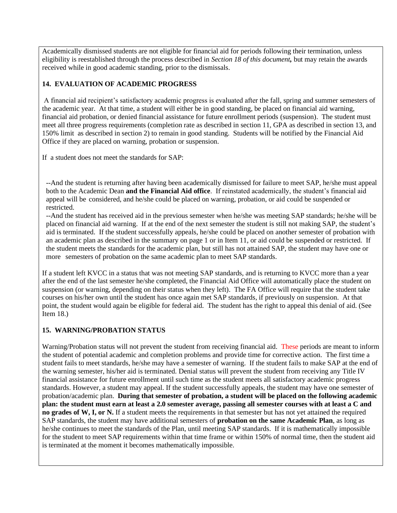Academically dismissed students are not eligible for financial aid for periods following their termination, unless eligibility is reestablished through the process described in *Section 18 of this document,* but may retain the awards received while in good academic standing, prior to the dismissals.

## **14. EVALUATION OF ACADEMIC PROGRESS**

A financial aid recipient's satisfactory academic progress is evaluated after the fall, spring and summer semesters of the academic year. At that time, a student will either be in good standing, be placed on financial aid warning, financial aid probation, or denied financial assistance for future enrollment periods (suspension). The student must meet all three progress requirements (completion rate as described in section 11, GPA as described in section 13, and 150% limit as described in section 2) to remain in good standing. Students will be notified by the Financial Aid Office if they are placed on warning, probation or suspension.

If a student does not meet the standards for SAP:

• --And the student is returning after having been academically dismissed for failure to meet SAP, he/she must appeal both to the Academic Dean **and the Financial Aid office**. If reinstated academically, the student's financial aid appeal will be considered, and he/she could be placed on warning, probation, or aid could be suspended or restricted.

--And the student has received aid in the previous semester when he/she was meeting SAP standards; he/she will be placed on financial aid warning. If at the end of the next semester the student is still not making SAP, the student's aid is terminated. If the student successfully appeals, he/she could be placed on another semester of probation with an academic plan as described in the summary on page 1 or in Item 11, or aid could be suspended or restricted. If the student meets the standards for the academic plan, but still has not attained SAP, the student may have one or more semesters of probation on the same academic plan to meet SAP standards.

If a student left KVCC in a status that was not meeting SAP standards, and is returning to KVCC more than a year after the end of the last semester he/she completed, the Financial Aid Office will automatically place the student on suspension (or warning, depending on their status when they left). The FA Office will require that the student take courses on his/her own until the student has once again met SAP standards, if previously on suspension. At that point, the student would again be eligible for federal aid. The student has the right to appeal this denial of aid. (See Item 18.)

## **15. WARNING/PROBATION STATUS**

Warning/Probation status will not prevent the student from receiving financial aid. These periods are meant to inform the student of potential academic and completion problems and provide time for corrective action. The first time a student fails to meet standards, he/she may have a semester of warning. If the student fails to make SAP at the end of the warning semester, his/her aid is terminated. Denial status will prevent the student from receiving any Title IV financial assistance for future enrollment until such time as the student meets all satisfactory academic progress standards. However, a student may appeal. If the student successfully appeals, the student may have one semester of probation/academic plan. **During that semester of probation, a student will be placed on the following academic plan: the student must earn at least a 2.0 semester average, passing all semester courses with at least a C and no grades of W, I, or N.** If a student meets the requirements in that semester but has not yet attained the required SAP standards, the student may have additional semesters of **probation on the same Academic Plan**, as long as he/she continues to meet the standards of the Plan, until meeting SAP standards. If it is mathematically impossible for the student to meet SAP requirements within that time frame or within 150% of normal time, then the student aid is terminated at the moment it becomes mathematically impossible.